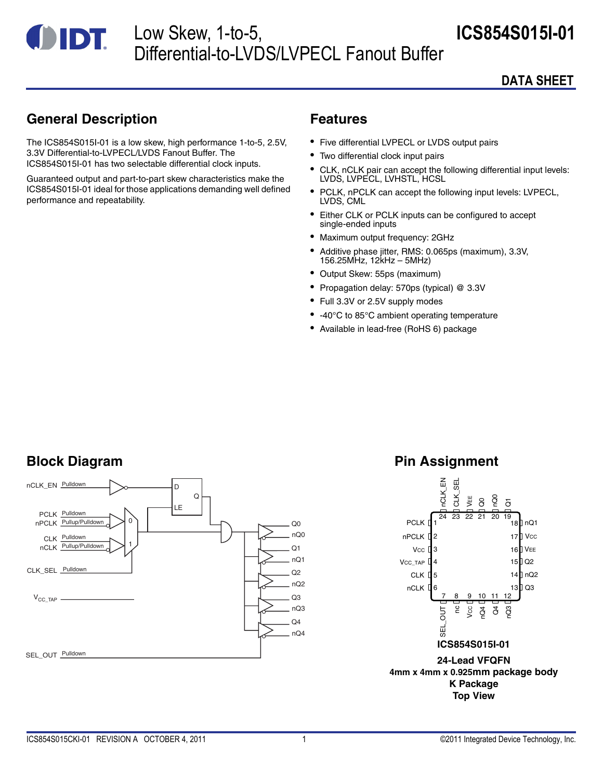# **ICS854S015I-01**

# **DT** Low Skew, 1-to-5, Differential-to-LVDS/LVPECL Fanout Buffer

# **DATA SHEET**

# **General Description**

The ICS854S015I-01 is a low skew, high performance 1-to-5, 2.5V, 3.3V Differential-to-LVPECL/LVDS Fanout Buffer. The ICS854S015I-01 has two selectable differential clock inputs.

Guaranteed output and part-to-part skew characteristics make the ICS854S015I-01 ideal for those applications demanding well defined performance and repeatability.

# **Features**

- **•** Five differential LVPECL or LVDS output pairs
- **•** Two differential clock input pairs
- **•** CLK, nCLK pair can accept the following differential input levels: LVDS, LVPECL, LVHSTL, HCSL
- **•** PCLK, nPCLK can accept the following input levels: LVPECL, LVDS, CML
- **•** Either CLK or PCLK inputs can be configured to accept single-ended inputs
- **•** Maximum output frequency: 2GHz
- **•** Additive phase jitter, RMS: 0.065ps (maximum), 3.3V, 156.25MHz, 12kHz – 5MHz)
- **•** Output Skew: 55ps (maximum)
- **•** Propagation delay: 570ps (typical) @ 3.3V
- **•** Full 3.3V or 2.5V supply modes
- **•** -40°C to 85°C ambient operating temperature
- **•** Available in lead-free (RoHS 6) package



# **Block Diagram Pin Assignment**

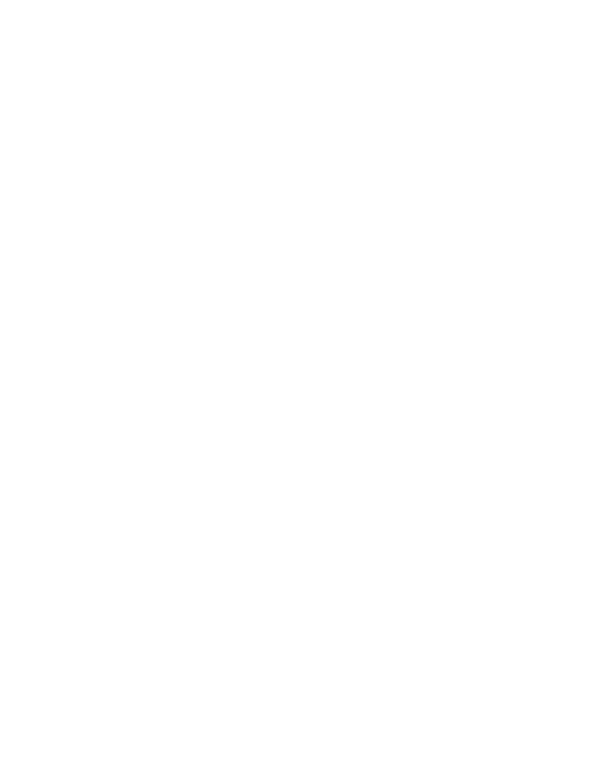# **Table 1. Pin Descriptions**

| <b>Number</b>  | <b>Name</b>          |        | <b>Type</b>                | <b>Description</b>                                                                                                                                                                |
|----------------|----------------------|--------|----------------------------|-----------------------------------------------------------------------------------------------------------------------------------------------------------------------------------|
| 1              | <b>PCLK</b>          | Input  | Pulldown                   | Non-inverting differential LVPECL clock input.                                                                                                                                    |
| $\overline{2}$ | <b>nPCLK</b>         | Input  | Pullup/<br>Pulldown        | Inverting differential LVPECL clock input. $V_{CC}/2$ default when left floating.                                                                                                 |
| 3, 9, 17       | $V_{\rm CC}$         | Power  |                            | Positive supply pins.                                                                                                                                                             |
| $\overline{4}$ | $V_{\text{CC\_TAP}}$ | Power  |                            | Power supply pin. See Table 3C.                                                                                                                                                   |
| 5              | <b>CLK</b>           | Input  | <b>Pulldown</b>            | Non-inverting differential clock input.                                                                                                                                           |
| 6              | <b>nCLK</b>          | Input  | Pullup/<br><b>Pulldown</b> | Inverting differential clock input. $V_{CC}/2$ default when left floating.                                                                                                        |
| $\overline{7}$ | SEL_OUT              | Input  | Pulldown                   | Output select pin. When LOW, selects LVDS output levels. When HIGH, selects<br>LVPECL output levels. See Table 3. LVCMOS/LVTTL interface levels.                                  |
| 8              | nc                   | Unused |                            | No-connect.                                                                                                                                                                       |
| 10, 11         | nQ4, Q4              | Output |                            | Differential output pair. LVDS or LVPECL interface levels.                                                                                                                        |
| 12, 13         | nQ3, Q3              | Output |                            | Differential output pair. LVDS or LVPECL interface levels.                                                                                                                        |
| 14, 15         | nQ2, Q2              | Output |                            | Differential output pair. LVDS or LVPECL interface levels.                                                                                                                        |
| 16, 22         | $V_{EE}$             | Power  |                            | Negative supply pins.                                                                                                                                                             |
| 18, 19         | nQ1, Q1              | Output |                            | Differential output pair. LVDS or LVPECL interface levels.                                                                                                                        |
| 20, 21         | nQ0, Q0              | Output |                            | Differential output pair. LVDS or LVPECL interface levels.                                                                                                                        |
| 23             | CLK_SEL              | Input  | Pulldown                   | Clock select input. When HIGH, selects CLK, nCLK inputs. When LOW, selects<br>PCLK, nPCLK inputs. LVTTL / LVCMOS interface levels.                                                |
| 24             | nCLK EN              | Input  | Pulldown                   | Synchronizing clock enable. When LOW, clock outputs follow clock input.<br>When HIGH, Qx outputs are forced low, nQx outputs are forced high.<br>LVTTL / LVCMOS interface levels. |

NOTE: *Pullup and Pulldown* refer to internal input resistors. See Table 2, *Pin Characteristics,* for typical values.

# **Table 2. Pin Characteristics**

| <b>Symbol</b>    | <b>Parameter</b>         | <b>Test Conditions</b> | <b>Minimum</b> | <b>Typical</b> | <b>Maximum</b> | <b>Units</b> |
|------------------|--------------------------|------------------------|----------------|----------------|----------------|--------------|
| $C_{IN}$         | Input Capacitance        |                        |                |                |                | pF           |
| <b>HPULLDOWN</b> | Input Pulldown Resistor  |                        |                | 50             |                | k $\Omega$   |
| $R_{VCC}/2$      | Pullup/Pulldown Resistor |                        |                | 50             |                | k $\Omega$   |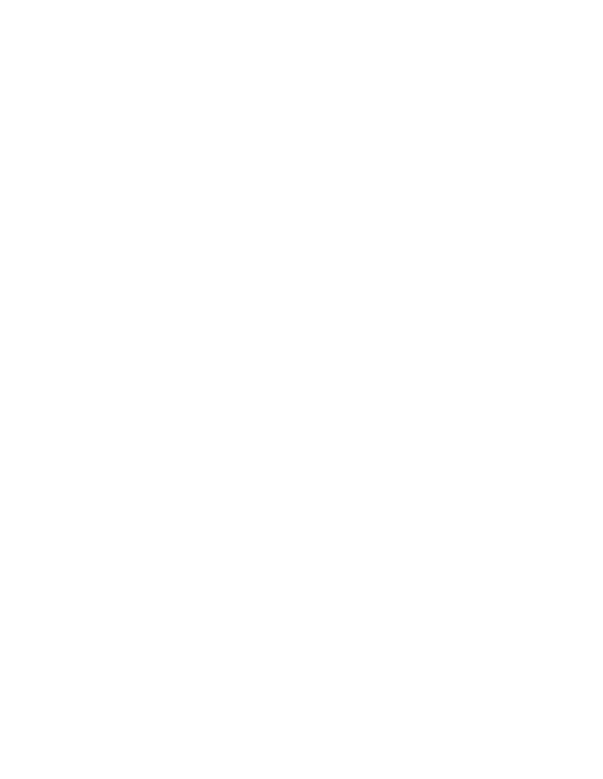# **Function Tables**

**Table 3A. Control Input Function Table**

|         | <b>Inputs</b>  |                        |               | <b>Outputs</b> |
|---------|----------------|------------------------|---------------|----------------|
| nCLK EN | <b>CLK SEL</b> | <b>Selected Source</b> | Q[0:4]        | nQ[0:4]        |
| 0       | 0              | PCLK, nPCLK            | Enabled       | Enabled        |
| 0       |                | CLK, nCLK              | Enabled       | Enabled        |
|         | 0              | PCLK, nPCLK            | Disabled: Low | Disabled; High |
|         |                | CLK, nCLK              | Disabled; Low | Disabled; High |

After nCLK\_EN switches, the clock outputs are disabled or enabled following a falling input clock edge as shown in Figure 1. In the active mode, the state of the outputs are a function of the PCLK, nPCLK and CLK, nCLK inputs as described in Table 3B.



**Figure 1. nCLK\_EN Timing Diagram**

#### **Table 3B. Clock Input Function Table**

|                    | <b>Inputs</b> | <b>Outputs</b> |             |                              |                 |
|--------------------|---------------|----------------|-------------|------------------------------|-----------------|
| <b>PCLK or CLK</b> | nPCLK or nCLK | Q[0:4]         | nQ[0:4]     | <b>Input to Output Mode</b>  | <b>Polarity</b> |
|                    |               | <b>LOW</b>     | <b>HIGH</b> | Differential to Differential | Non-Inverting   |
|                    |               | <b>HIGH</b>    | <b>LOW</b>  | Differential to Differential | Non-Inverting   |

| <b>Outputs</b>  |                            |                      |
|-----------------|----------------------------|----------------------|
| Q[0:4], nQ[0:4] | <b>Output Level Supply</b> | $V_{\text{CC\_TAP}}$ |
| <b>LVPECL</b>   | 2.5V                       | 2.5V                 |
| <b>LVPECL</b>   | 3.3V                       | 3.3V                 |
| <b>LVDS</b>     | 2.5V                       | 2.5V                 |
| <b>LVDS</b>     | 3.3V                       | Float                |

#### Table 3C. V<sub>CC\_TAP</sub> Function Table **Table 3D. SEL\_OUT Function Table**

| Input          | <b>Outputs</b>  |
|----------------|-----------------|
| <b>SEL OUT</b> | Q[0:4], nQ[0:4] |
| 0 (default)    | LVDS            |
|                | LVPECL          |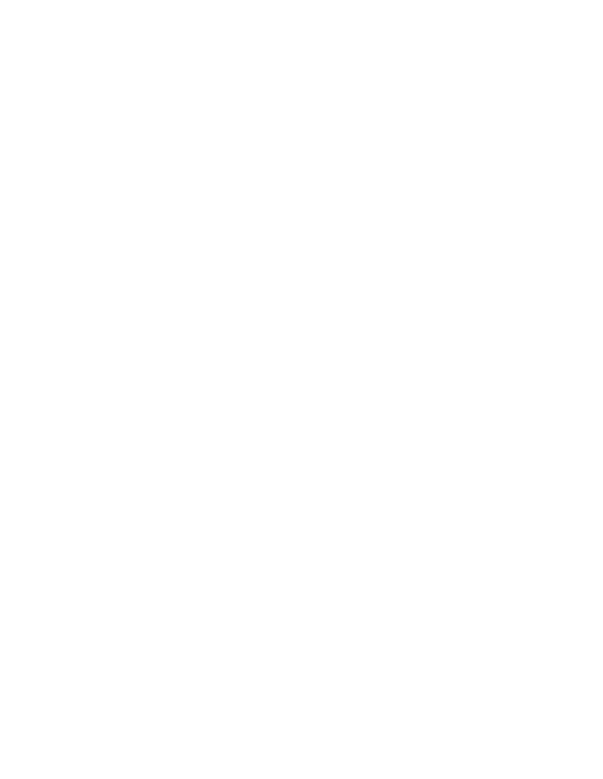# **Absolute Maximum Ratings**

NOTE: Stresses beyond those listed under *Absolute Maximum Ratings* may cause permanent damage to the device. These ratings are stress specifications only. Functional operation of product at these conditions or any conditions beyond those listed in the *DC Characteristics or AC Characteristics* is not implied. Exposure to absolute maximum rating conditions for extended periods may affect product reliability.

| <b>Item</b>                                                                           | Rating                                               |
|---------------------------------------------------------------------------------------|------------------------------------------------------|
| Supply Voltage, V <sub>CC</sub>                                                       | 4.6V                                                 |
| Inputs, $V_1$                                                                         | -0.5V to $V_{CC}$ + 0.5V                             |
| Outputs, I <sub>O</sub> (LVPECL)<br><b>Continuous Current</b><br><b>Surge Current</b> | 50 <sub>m</sub> A<br>100 <sub>m</sub> A              |
| Outputs, $I_{\Omega}$ (LVDS)<br><b>Continuous Current</b><br><b>Surge Current</b>     | 10 <sub>m</sub> A<br>15 <sub>m</sub> A               |
| Package Thermal Impedance, $\theta_{JA}$                                              | 49.5°C/W (0 mps)                                     |
| Storage Temperature, T <sub>STG</sub>                                                 | -65 $\mathrm{^{\circ}C}$ to 150 $\mathrm{^{\circ}C}$ |

# **DC Electrical Characteristics**

**Table 4A. LVPECL Power Supply DC Characteristics,**  $V_{CC} = V_{CC\_TAP} = 3.3V \pm 5\%$ ,  $V_{EE} = 0V$ ,  $T_A = -40^{\circ}C$  to 85°C

| Symbol              | <b>Parameter</b>            | <b>Test Conditions</b> | <b>Minimum</b> | <b>Typical</b> | <b>Maximum</b> | Units |
|---------------------|-----------------------------|------------------------|----------------|----------------|----------------|-------|
| $V_{\rm CC}$        | Positive Supply Voltage     |                        | 3.135          | 3.3            | 3.465          |       |
| V <sub>CC_TAP</sub> | <b>Power Supply Voltage</b> |                        | 3.135          | 3.3            | 3.465          |       |
| $l_{EE}$            | <b>Power Supply Current</b> |                        |                |                | 85             | mA    |
| I <sub>TAP</sub>    | <b>Power Supply Current</b> |                        |                |                | 5              | mA    |

| Table 4B. LVPECL Power Supply DC Characteristics, $V_{CC} = V_{CC TAP} = 2.5V \pm 5\%$ , $V_{EE} = 0V$ , $T_A = -40^{\circ}C$ to 85°C |  |  |  |  |
|---------------------------------------------------------------------------------------------------------------------------------------|--|--|--|--|
|---------------------------------------------------------------------------------------------------------------------------------------|--|--|--|--|

| Symbol              | <b>Parameter</b>            | <b>Test Conditions</b> | <b>Minimum</b> | <b>Typical</b> | <b>Maximum</b> | <b>Units</b> |
|---------------------|-----------------------------|------------------------|----------------|----------------|----------------|--------------|
| $V_{\rm CC}$        | Positive Supply Voltage     |                        | 2.375          | 2.5            | 2.625          |              |
| V <sub>CC</sub> TAP | <b>Power Supply Voltage</b> |                        | 2.375          | 2.5            | 2.625          |              |
| $l_{EE}$            | <b>Power Supply Current</b> |                        |                |                | 78             | mA           |
| I <sub>TAP</sub>    | <b>Power Supply Current</b> |                        |                |                |                | mA           |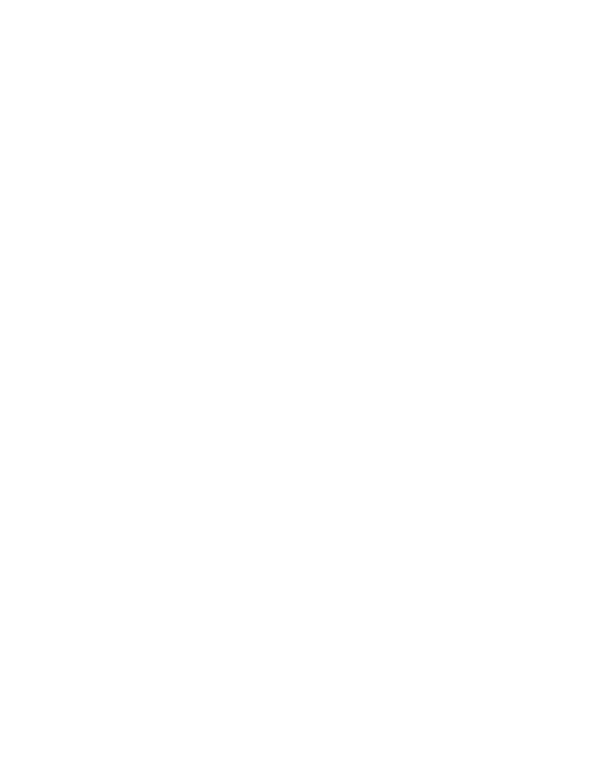| Symbol         | <b>Parameter</b>            | <b>Test Conditions</b> | <b>Minimum</b> | <b>Typical</b> | <b>Maximum</b> | <b>Units</b> |
|----------------|-----------------------------|------------------------|----------------|----------------|----------------|--------------|
| $V_{CC}$       | Positive Supply Voltage     |                        | 3.135          | 3.3            | 3.465          |              |
| <sub>ICC</sub> | <b>Power Supply Current</b> |                        |                |                | 160            | mA           |

#### **Table 4C. LVDS Power Supply DC Characteristics,**  $V_{CC} = 3.3V \pm 5\%$ **,**  $T_A = -40\degree C$  **to 85** $\degree C$

NOTE:  $V_{\text{CC}_{\text{TAP}}}$  is left floating for 3.3V operation.

# **Table 4D. LVDS Power Supply DC Characteristics,**  $V_{CC} = V_{CC\_TAP} = 2.5V \pm 5\%$ ,  $V_{EE} = 0V$ ,  $T_A = -40^{\circ}C$  to 85°C

| Symbol               | <b>Parameter</b>            | <b>Test Conditions</b> | <b>Minimum</b> | <b>Typical</b> | <b>Maximum</b> | <b>Units</b> |
|----------------------|-----------------------------|------------------------|----------------|----------------|----------------|--------------|
| $V_{\rm CC}$         | Positive Supply Voltage     |                        | 2.375          | 2.5            | 2.625          |              |
| $V_{\text{CC\_TAP}}$ | Power Supply Voltage        |                        | 2.375          | 2.5            | 2.625          |              |
| $I_{\rm CC}$         | <b>Power Supply Current</b> |                        |                |                | 150            | mA           |
| $I_{\text{CC\_TAP}}$ | <b>Power Supply Current</b> |                        |                |                | 5              | mA           |

#### **Table 4E. LVCMOS/LVTTL DC Characteristics,**  $V_{CC} = 3.3V \pm 5\%$  or  $V_{CC} = V_{CC\_TAP} = 2.5V \pm 5\%$ ,  $V_{EE} = 0V$ ,  $T_A = -40\degree$ C to 85 $\degree$ C

| Symbol          | <b>Parameter</b>   |                                 | <b>Test Conditions</b>                                   | <b>Minimum</b> | <b>Typical</b> | <b>Maximum</b>     | <b>Units</b> |
|-----------------|--------------------|---------------------------------|----------------------------------------------------------|----------------|----------------|--------------------|--------------|
| $V_{\text{IH}}$ | Input High Voltage |                                 | $V_{CC} = 3.465V$                                        | 2.2            |                | $V_{\rm CC}$ + 0.3 | V            |
|                 |                    |                                 | $V_{CC} = 2.625V$                                        | 1.7            |                | $V_{\rm CC}$ + 0.3 | v            |
|                 | Input Low Voltage  |                                 | $V_{\text{CC}} = 3.465V$                                 | $-0.3$         |                | 0.8                | v            |
| $V_{\parallel}$ |                    |                                 | $V_{CC} = 2.625V$                                        | $-0.3$         |                | 0.7                | $\vee$       |
| $I_{\rm IH}$    | Input High Current | CLK_SEL,<br>SEL_OUT,<br>nCLK EN | $V_{\text{CC}} = V_{\text{IN}} = 3.465V$ or 2.625V       |                |                | 150                | μA           |
| $I_{IL}$        | Input Low Current  | CLK_SEL,<br>SEL OUT.<br>nCLK EN | $V_{\text{CC}}$ = 3.465V or 2.625V, $V_{\text{IN}}$ = 0V | -10            |                |                    | μA           |

#### **Table 4F. Differential DC Characteristics,**  $V_{CC} = 3.3V \pm 5\%$  or  $V_{CC} = V_{CC\_TAP} = 2.5V \pm 5\%$ ,  $V_{EE} = 0V$ ,  $T_A = -40\degree$ C to 85 $\degree$ C

| Symbol                 | <b>Parameter</b>                     |             | <b>Test Conditions</b>           | <b>Minimum</b> | <b>Typical</b> | <b>Maximum</b>      | <b>Units</b> |
|------------------------|--------------------------------------|-------------|----------------------------------|----------------|----------------|---------------------|--------------|
| $I_{\text{IH}}$        | Input High Current                   | CLK, nCLK   | $V_{CC} = V_{IN} = 3.465V$       |                |                | 150                 | μA           |
|                        |                                      | <b>CLK</b>  | $V_{CC}$ = 3.465V, $V_{IN}$ = 0V | $-10$          |                |                     | μA           |
| $I_{\rm IL}$           | Input Low Current                    | <b>nCLK</b> | $V_{CC}$ = 3.465V, $V_{IN}$ = 0V | $-150$         |                |                     | μA           |
| V <sub>PP</sub>        | Peak-to-Peak Input<br>Voltage        | CLK, nCLK   |                                  | 0.15           |                | 1.3                 | v            |
| <b>V<sub>CMR</sub></b> | Common Mode Input<br>Voltage; NOTE 1 | CLK, nCLK   |                                  | $V_{EE}$ + 0.5 |                | $V_{\rm CC}$ – 0.85 | V            |

NOTE 1. Common mode voltage is defined as  $V_{\text{IH}}$ .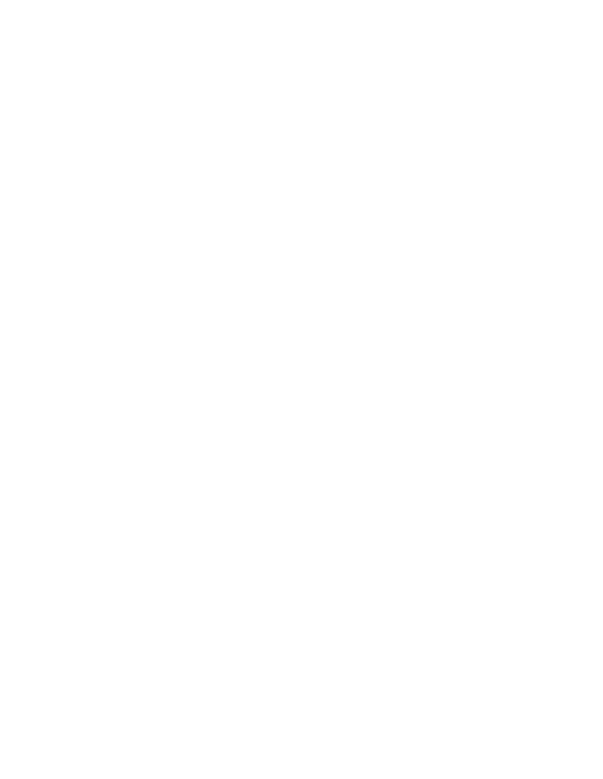| Symbol                                 | <b>Parameter</b>                     |              | <b>Test Conditions</b>           | <b>Minimum</b>     | <b>Typical</b> | <b>Maximum</b>     | <b>Units</b> |
|----------------------------------------|--------------------------------------|--------------|----------------------------------|--------------------|----------------|--------------------|--------------|
| $I_{\text{IH}}$                        | Input High Current                   | PCLK, nPCLK  | $V_{CC} = V_{IN} = 3.465V$       |                    |                | 150                | μA           |
| Input Low Current<br>$I_{\parallel L}$ |                                      | <b>PCLK</b>  | $V_{CC}$ = 3.465V, $V_{IN}$ = 0V | $-10$              |                |                    | μA           |
|                                        |                                      | <b>nPCLK</b> | $V_{CC}$ = 3.465V, $V_{IN}$ = 0V | $-150$             |                |                    | μA           |
| $V_{PP}$                               | Peak-to-Peak Input<br>Voltage        | PCLK, nPCLK  |                                  | 0.15               |                | 1.3                | v            |
| $V_{CMR}$                              | Common Mode Input<br>Voltage; NOTE 1 | PCLK, nPCLK  |                                  | $V_{FF}$ + 1.2     |                | $V_{CC}$           | v            |
| $V_{OH}$                               | Output High Voltage; NOTE 2          |              | $SEL$ OUT = 1                    | $V_{\rm CC}$ – 1.4 |                | $V_{CC}$ – 0.9     | $\vee$       |
| $V_{OL}$                               | Output Low Voltage; NOTE 2           |              | $SEL$ OUT = 1                    | $V_{\rm CC} - 2.0$ |                | $V_{\rm CC}$ – 1.7 | v            |
| V <sub>SWING</sub>                     | Peak-to-peak Output Voltage Swing    |              | $SEL$ OUT = 1                    | 0.6                |                | 1.0                | v            |

### **Table 4G. LVPECL DC Characteristics,**  $V_{CC} = V_{CC\_TAP} = 3.3V \pm 5\%$ ,  $V_{EE} = 0V$ ,  $T_A = -40^{\circ}C$  to 85°C

NOTE 1. Common mode voltage is defined as  $V_{\text{H}}$ .

NOTE 2: Outputs terminated with 50 $\Omega$  to V<sub>CC</sub> – 2V.

# **Table 4H. LVPECL DC Characteristics,**  $V_{CC} = V_{CC\_TAP} = 2.5V \pm 5\%$ ,  $V_{EE} = 0V$ ,  $T_A = -40\degree C$  to 85 $\degree C$

| <b>Symbol</b>      | <b>Parameter</b>                     |              | <b>Test Conditions</b>           | <b>Minimum</b>     | <b>Typical</b> | <b>Maximum</b>     | <b>Units</b> |
|--------------------|--------------------------------------|--------------|----------------------------------|--------------------|----------------|--------------------|--------------|
| ŀщ                 | Input High Current                   | PCLK, nPCLK  | $V_{CC} = V_{IN} = 2.625V$       |                    |                | 150                | μA           |
|                    |                                      | <b>PCLK</b>  | $V_{CC}$ = 2.625V, $V_{IN}$ = 0V | -10                |                |                    | μA           |
| $I_{\rm IL}$       | Input Low Current                    | <b>nPCLK</b> | $V_{CC}$ = 2.625V, $V_{IN}$ = 0V | $-150$             |                |                    | μA           |
| $V_{PP}$           | Peak-to-Peak Input<br>Voltage        | PCLK, nPCLK  |                                  | 0.15               |                | 1.3                | $\vee$       |
| $V_{CMR}$          | Common Mode Input<br>Voltage; NOTE 1 | PCLK, nPCLK  |                                  | $V_{FF}$ + 1.2     |                | $V_{CC}$           | v            |
| $V_{OH}$           | Output High Voltage; NOTE 2          |              | $SEL$ OUT = 1                    | $V_{CC}$ – 1.4     |                | $V_{\rm CC}$ – 0.9 | $\vee$       |
| $V_{OL}$           | Output Low Voltage; NOTE 2           |              | $SEL$ OUT = 1                    | $V_{\rm CC} - 2.0$ |                | $V_{\rm CC}$ – 1.5 | $\vee$       |
| V <sub>SWING</sub> | Peak-to-peak Output Voltage Swing    |              | $SEL$ OUT = 1                    | 0.4                |                | 1.0                | $\vee$       |

NOTE 1. Common mode voltage is defined as  $V_{\text{IH}}$ .

NOTE 2: Outputs terminated with 50 $\Omega$  to V<sub>CC</sub> – 2V.

#### **Table 4I. LVDS DC Characteristics,**  $V_{CC} = 3.3V \pm 5\%$ ,  $T_A = -40^{\circ}C$  to 85°C

| <b>Symbol</b>   | <b>Parameter</b>                 | <b>Test Conditions</b> | <b>Minimum</b> | <b>Typical</b> | <b>Maximum</b> | Units |
|-----------------|----------------------------------|------------------------|----------------|----------------|----------------|-------|
| $V_{OD}$        | Differential Output Voltage      | SEL OUT = $0$          | 247            |                | 454            | mV    |
| $\Delta V_{OD}$ | V <sub>OD</sub> Magnitude Change | SEL OUT = $0$          |                |                | 50             | mV    |
| $V_{OS}$        | Offset Voltage                   | SEL OUT = $0$          | 1.125          |                | 1.375          |       |
| $\Delta V_{OS}$ | V <sub>OS</sub> Magnitude Change | SEL OUT = $0$          |                |                | 50             | mV    |

#### **Table 4J. LVDS DC Characteristics,**  $V_{CC} = V_{CC\_TAP} = 2.5V \pm 5\%, T_A = -40\degree C$  to 85 $\degree C$

| Symbol          | <b>Parameter</b>                 | <b>Test Conditions</b> | <b>Minimum</b> | <b>Typical</b> | <b>Maximum</b> | Units |
|-----------------|----------------------------------|------------------------|----------------|----------------|----------------|-------|
| $V_{OD}$        | Differential Output Voltage      | SEL OUT = $0$          | 247            |                | 454            | mV    |
| $\Delta V_{OD}$ | V <sub>OD</sub> Magnitude Change | SEL OUT = $0$          |                |                | 50             | mV    |
| $V_{OS}$        | Offset Voltage                   | SEL OUT = $0$          | 1.105          |                | 1.375          |       |
| $\Delta V_{OS}$ | $V_{OS}$ Magnitude Change        | SEL OUT = $0$          |                |                | 50             | mV    |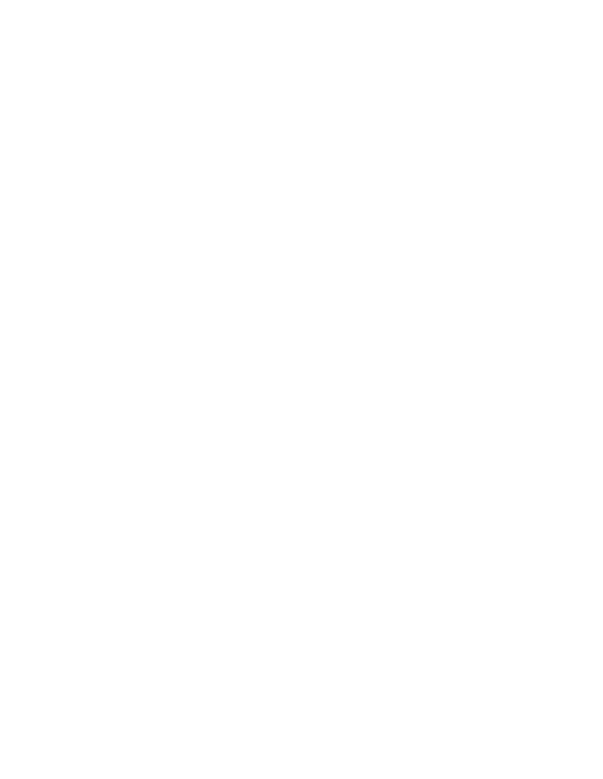# **AC Electrical Characteristics**

| <b>Table 5A. LVPECL AC Characteristics,</b> $V_{CC} = V_{CC\_TAP} = 3.3V \pm 5\%$ , $V_{EE} = 0V$ , $T_A = -40^{\circ}$ C to 85°C |  |  |  |  |  |  |
|-----------------------------------------------------------------------------------------------------------------------------------|--|--|--|--|--|--|
|-----------------------------------------------------------------------------------------------------------------------------------|--|--|--|--|--|--|

| Symbol                          | <b>Parameter</b>                                                             | <b>Test Conditions</b>                           | <b>Minimum</b> | <b>Typical</b> | <b>Maximum</b> | <b>Units</b> |
|---------------------------------|------------------------------------------------------------------------------|--------------------------------------------------|----------------|----------------|----------------|--------------|
| $f_{\text{OUT}}$                | <b>Output Frequency</b>                                                      |                                                  |                |                | $\overline{2}$ | GHz          |
| t <sub>PD</sub>                 | Propagation Delay, Low-to-High;<br>NOTE <sub>1</sub>                         |                                                  | 300            |                | 800            | ps           |
| tsk(o)                          | Output Skew; NOTE 2, 3                                                       |                                                  |                |                | 55             | ps           |
| tsk(pp)                         | Part-to-Part Skew; NOTE 3, 4                                                 |                                                  |                |                | 250            | ps           |
|                                 | Buffer Additive Phase Jitter, RMS;<br>refer to Additive Phase Jitter Section | 156.25MHz, Integration Range:<br>12kHz - 5MHz    |                | 0.046          | 0.065          | ps           |
|                                 |                                                                              | 156.25MHz, Integration Range:<br>$12kHz - 20MHz$ |                | 0.083          | 0.120          | ps           |
| tjit                            |                                                                              | 245.76MHz, Integration Range:<br>12kHz - 5MHz    |                | 0.034          | 0.059          | ps           |
|                                 |                                                                              | 245.76MHz, Integration Range:<br>12kHz - 20MHz   |                | 0.068          | 0.094          | ps           |
| $t_R / t_F$                     | Output Rise/Fall Time                                                        | 20% to 80%                                       | 80             |                | 220            | ps           |
| odc                             | Output Duty Cycle                                                            |                                                  | 45             |                | 55             | $\%$         |
| <b>MUX</b> <sub>ISOLATION</sub> | <b>MUX</b> Isolation                                                         | @ 100MHz                                         |                | 85             |                | dB           |

All parameters measured at  $f_{\text{OUT}} \leq 1 \text{ GHz}$  unless noted otherwise.

NOTE: Electrical parameters are guaranteed over the specified ambient operating temperature range, which is established when the device is mounted in a test socket with maintained transverse airflow greater than 500 lfpm. The device will meet specifications after thermal equilibrium has been reached under these conditions.

NOTE 1: Measured from the differential input crossing point to the differential output crossing point.

NOTE 2: Defined as skew between outputs at the same supply voltage and with equal load conditions.

Measured from the output differential cross points.

NOTE 3: This parameter is defined in accordance with JEDEC Standard 65.

NOTE 4: Defined as skew between outputs on different devices operating at the same supply voltage, same temperature, same frequency and with equal load conditions. Using the same type of inputs on each device, the outputs are measured at the differential cross points.

#### **Table 5B. LVPECL AC Characteristics,**  $V_{CC} = V_{CC\_TAP} = 2.5V \pm 5\%$ ,  $V_{EE} = 0V$ ,  $T_A = -40^{\circ}C$  to 85°C

| Symbol               | <b>Parameter</b>                                                             | <b>Test Conditions</b>                         | <b>Minimum</b> | <b>Typical</b> | <b>Maximum</b> | <b>Units</b> |
|----------------------|------------------------------------------------------------------------------|------------------------------------------------|----------------|----------------|----------------|--------------|
| $f_{OUT}$            | <b>Output Frequency</b>                                                      |                                                |                |                | $\mathbf{2}$   | <b>GHz</b>   |
| $t_{PD}$             | Propagation Delay, Low-to-High;<br>NOTE <sub>1</sub>                         |                                                | 300            |                | 800            | ps           |
| tsk(o)               | Output Skew; NOTE 2, 3                                                       |                                                |                |                | 55             | ps           |
| tsk(pp)              | Part-to-Part Skew; NOTE 3, 4                                                 |                                                |                |                | 250            | ps           |
|                      |                                                                              | 156.25MHz, Integration Range:<br>12kHz - 5MHz  |                | 0.054          | 0.079          | ps           |
| <i>t</i> jit         | Buffer Additive Phase Jitter, RMS;<br>refer to Additive Phase Jitter Section | 156.25MHz, Integration Range:<br>12kHz - 20MHz |                | 0.097          | 0.134          | ps           |
|                      |                                                                              | 245.76MHz, Integration Range:<br>12kHz - 5MHz  |                | 0.050          | 0.067          | ps           |
|                      |                                                                              | 245.76MHz, Integration Range:<br>12kHz - 20MHz |                | 0.099          | 0.131          | ps           |
| $t_R / t_F$          | <b>Output Rise/Fall Time</b>                                                 | 20% to 80%                                     | 80             |                | 210            | ps           |
| odc                  | <b>Output Duty Cycle</b>                                                     |                                                | 45             |                | 55             | $\%$         |
| <b>MUX</b> ISOLATION | <b>MUX</b> Isolation                                                         | @ 100MHz                                       |                | 85             |                | dB           |

For NOTES, see Table 5A above.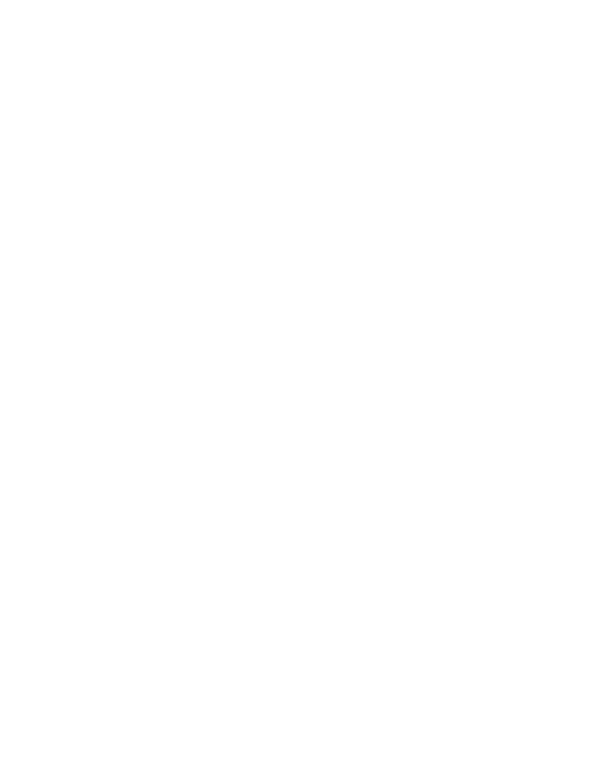| Symbol                          | <b>Parameter</b>                                                             | <b>Test Conditions</b>                           | <b>Minimum</b> | <b>Typical</b> | <b>Maximum</b> | <b>Units</b> |
|---------------------------------|------------------------------------------------------------------------------|--------------------------------------------------|----------------|----------------|----------------|--------------|
| $f_{OUT}$                       | Output Frequency                                                             |                                                  |                |                | $\overline{2}$ | GHz          |
| $t_{PD}$                        | Propagation Delay, Low-to-High;<br>NOTE <sub>1</sub>                         |                                                  | 300            |                | 800            | ps           |
| tsk(o)                          | Output Skew; NOTE 2, 3                                                       |                                                  |                |                | 55             | ps           |
| tsk(pp)                         | Part-to-Part Skew; NOTE 3, 4                                                 |                                                  |                |                | 250            | ps           |
|                                 |                                                                              | 156.25MHz, Integration Range:<br>12kHz - 5MHz    |                | 0.048          | 0.074          | ps           |
|                                 | Buffer Additive Phase Jitter, RMS;<br>refer to Additive Phase Jitter Section | 156.25MHz, Integration Range:<br>$12kHz - 20MHz$ |                | 0.096          | 0.146          | ps           |
| tjit                            |                                                                              | 245.76MHz, Integration Range:<br>12kHz - 5MHz    |                | 0.035          | 0.054          | ps           |
|                                 |                                                                              | 245.76MHz, Integration Range:<br>$12kHz - 20MHz$ |                | 0.074          | 0.097          | ps           |
| $t_R / t_F$                     | Output Rise/Fall Time                                                        | 20% to 80%                                       | 80             |                | 200            | ps           |
| odc                             | <b>Output Duty Cycle</b>                                                     |                                                  | 45             |                | 55             | $\%$         |
| <b>MUX</b> <sub>ISOLATION</sub> | <b>MUX Isolation</b>                                                         | @ 100MHz                                         |                | 85             |                | dB           |

#### **Table 5C. LVDS AC Characteristics,**  $V_{CC} = 3.3V \pm 5\%$ ,  $V_{EE} = 0V$ ,  $T_A = -40^{\circ}C$  to 85°C

All parameters measured at  $f_{\text{OUT}} \leq 1$ GHz unless noted otherwise.

NOTE: Electrical parameters are guaranteed over the specified ambient operating temperature range, which is established when the device is mounted in a test socket with maintained transverse airflow greater than 500 lfpm. The device will meet specifications after thermal equilibrium has been reached under these conditions.

NOTE 1: Measured from the differential input crossing point to the differential output crossing point.

NOTE 2: Defined as skew between outputs at the same supply voltage and with equal load conditions.

Measured from the output differential cross points.

NOTE 3: This parameter is defined in accordance with JEDEC Standard 65.

NOTE 4: Defined as skew between outputs on different devices operating at the same supply voltage, same temperature, same frequency and with equal load conditions. Using the same type of inputs on each device, the outputs are measured at the differential cross points.

#### **Table 5D. LVDS AC Characteristics,**  $V_{CC} = V_{CC\_TAP} = 2.5V \pm 5\%$ ,  $V_{EE} = 0V$ ,  $T_A = -40^{\circ}C$  to 85°C

| Symbol               | <b>Parameter</b>                                                             | <b>Test Conditions</b>                         | <b>Minimum</b> | <b>Typical</b> | <b>Maximum</b> | <b>Units</b>       |
|----------------------|------------------------------------------------------------------------------|------------------------------------------------|----------------|----------------|----------------|--------------------|
| $f_{OUT}$            | <b>Output Frequency</b>                                                      |                                                |                |                | 2              | GHz                |
| $t_{PD}$             | Propagation Delay, Low-to-High;<br>NOTE <sub>1</sub>                         |                                                | 300            |                | 800            | ps                 |
| tsk(o)               | Output Skew; NOTE 2, 3                                                       |                                                |                |                | 55             | ps                 |
| tsk(pp)              | Part-to-Part Skew; NOTE 3, 4                                                 |                                                |                |                | 250            | ps                 |
|                      |                                                                              | 156.25MHz, Integration Range:<br>12kHz - 5MHz  |                | 0.049          | 0.074          | ps                 |
| tjit                 | Buffer Additive Phase Jitter, RMS;<br>refer to Additive Phase Jitter Section | 156.25MHz, Integration Range:<br>12kHz - 20MHz |                | 0.098          | 0.139          | ps                 |
|                      |                                                                              | 245.76MHz, Integration Range:<br>12kHz - 5MHz  |                | 0.037          | 0.060          | ps                 |
|                      |                                                                              | 245.76MHz, Integration Range:<br>12kHz - 20MHz |                | 0.076          | 0.102          | ps                 |
| $t_R / t_F$          | Output Rise/Fall Time                                                        | 20% to 80%                                     | 80             |                | 200            | ps                 |
| odc                  | Output Duty Cycle                                                            |                                                | 45             |                | 55             | $\frac{1}{\alpha}$ |
| <b>MUX</b> ISOLATION | <b>MUX</b> Isolation                                                         | @ 100MHz                                       |                | 85             |                | dB                 |

For NOTES, see Table 5C above.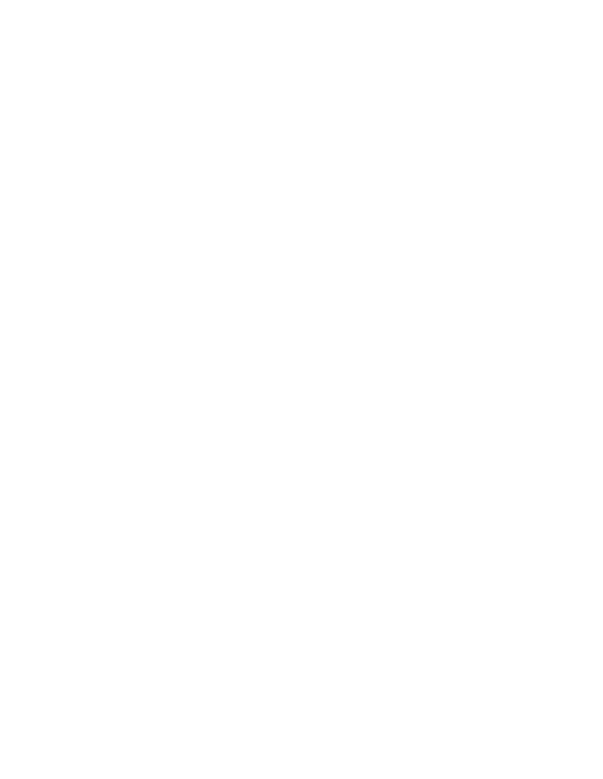# **Additive Phase Jitter**

The spectral purity in a band at a specific offset from the fundamental compared to the power of the fundamental is called the *dBc Phase Noise.* This value is normally expressed using a Phase noise plot and is most often the specified plot in many applications. Phase noise is defined as the ratio of the noise power present in a 1Hz band at a specified offset from the fundamental frequency to the power value of the fundamental. This ratio is expressed in decibels (dBm) or a ratio

of the power in the 1Hz band to the power in the fundamental. When the required offset is specified, the phase noise is called a *dBc* value, which simply means dBm at a specified offset from the fundamental. By investigating jitter in the frequency domain, we get a better understanding of its effects on the desired application over the entire time record of the signal. It is mathematically possible to calculate an expected bit error rate given a phase noise plot.



As with most timing specifications, phase noise measurements has issues relating to the limitations of the equipment. Often the noise floor of the equipment is higher than the noise floor of the device. This is illustrated above. The device meets the noise floor of what is shown, but can actually be lower. The phase noise is dependent on the input source and measurement equipment.

The source generator used is, "Rhode & Schwarz SMA 100A Signal Generator, via the clock synthesis as the external input to drive the input clock."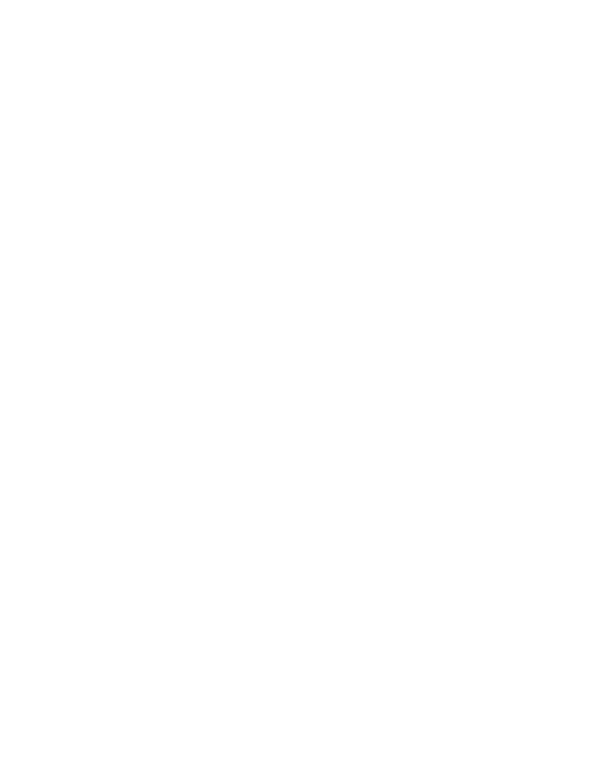# **Parameter Measurement Information**



**3.3V LVPECL Output Load AC Test Circuit**



**3.3V LVDS Output Load AC Test Circuit**



**Differential Input Level**



**2.5V LVPECL Output Load AC Test Circuit**



**2.5V LVDS Output Load AC Test Circuit**



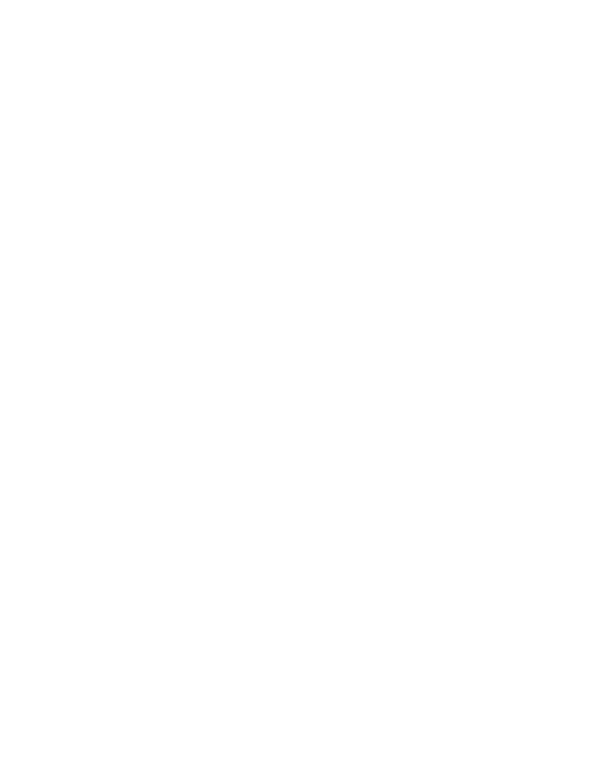# ICS854S015I-01 Data Sheet LOW SKEW, 1-TO-5, DIFFERENTIAL-TO-LVDS/LVPECL FANOUT BUFFER

# **Parameter Measurement Information, continued**



#### **Propagation Delay**



**LVPECL Output Rise/Fall Time**



**Output Duty Cycle/Pulse Width/Period**



**Differential Output Voltage Setup**



**Part-to-Part Skew**



**LVDS Output Rise/Fall Time**



**MUX Isolation**



#### **Offset Voltage Setup**

ICS854S015CKI-01 REVISION A OCTOBER 4, 2011 **11 CONTRACT CONTRACT CONTRACT CONTRACT CONTRACT CONTRACT CONTRACT CONTRACT CONTRACT CONTRACT CONTRACT CONTRACT CONTRACT CONTRACT CONTRACT CONTRACT CONTRACT CONTRACT CONTRACT CON**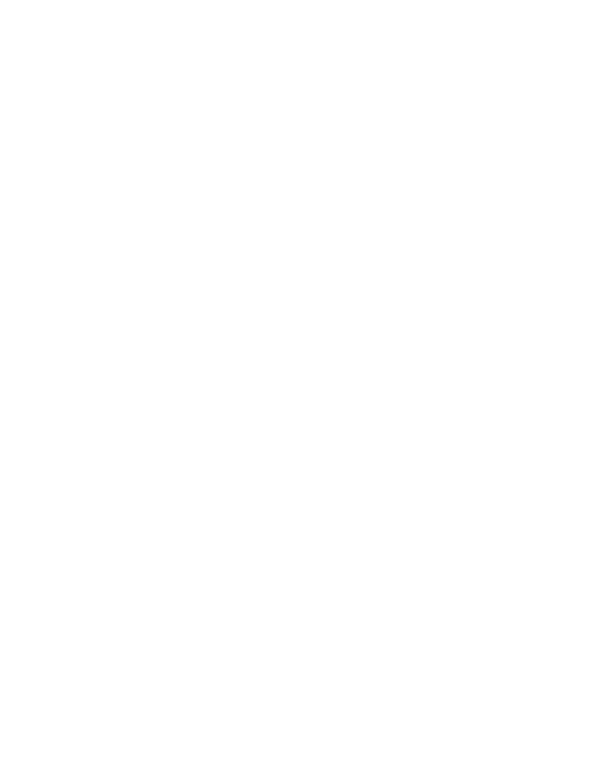# **Applications Information**

# **Recommendations for Unused Input and Output Pins**

#### **Inputs:**

#### **PCLK/nPCLK Inputs**

For applications not requiring the use of a differential input, both the PCLK and nPCLK pins can be left floating. Though not required, but for additional protection, a 1kΩ resistor can be tied from PCLK to ground.

#### **CLK/nCLK Inputs**

For applications not requiring the use of a differential input, both the CLK and nCLK pins can be left floating. Though not required, but for additional protection, a 1kΩ resistor can be tied from CLK to ground.

### **LVCMOS Control Pins**

All control pins have internal pulldowns; additional resistance is not required but can be added for additional protection. A 1kΩ resistor can be used.

### **Outputs:**

#### **LVPECL Outputs**

All unused LVPECL outputs can be left floating. We recommend that there is no trace attached. Both sides of the differential output pair should either be left floating or terminated.

#### **LVDS Outputs**

All unused LVDS output pairs can be either left floating or terminated with 100 $\Omega$  across. If they are left floating, there should be no trace attached.

## **Wiring the Differential Input to Accept Single-Ended Levels**

*Figure 2* shows how a differential input can be wired to accept single ended levels. The reference voltage  $V_{\text{RFE}} = V_{\text{CC}}/2$  is generated by the bias resistors R1 and R2. The bypass capacitor (C1) is used to help filter noise on the DC bias. This bias circuit should be located as close to the input pin as possible. The ratio of R1 and R2 might need to be adjusted to position the  $V_{REF}$  in the center of the input voltage swing. For example, if the input clock swing is 2.5V and  $V_{CC} = 3.3V$ , R1 and R2 value should be adjusted to set  $V_{\text{RFF}}$  at 1.25V. The values below are for when both the single ended swing and  $V_{CC}$  are at the same voltage. This configuration requires that the sum of the output impedance of the driver (Ro) and the series resistance (Rs) equals the transmission line impedance. In addition, matched termination at the input will attenuate the signal in half. This can be done in one of two ways. First, R3 and R4 in parallel should equal the transmission line impedance. For most 50Ω applications, R3 and R4 can be 100Ω. The values of the resistors can be increased to reduce the loading for slower and weaker LVCMOS driver. When using single-ended signaling, the noise rejection benefits of differential signaling are reduced. Even though the differential input can handle full rail LVCMOS signaling, it is recommended that the amplitude be reduced. The datasheet specifies a lower differential amplitude, however this only applies to differential signals. For single-ended applications, the swing can be larger, however  $V_{IL}$  cannot be less than -0.3V and  $V_{\text{IH}}$  cannot be more than  $V_{\text{CC}}$  + 0.3V. Though some of the recommended components might not be used, the pads should be placed in the layout. They can be utilized for debugging purposes. The datasheet specifications are characterized and guaranteed by using a differential signal.



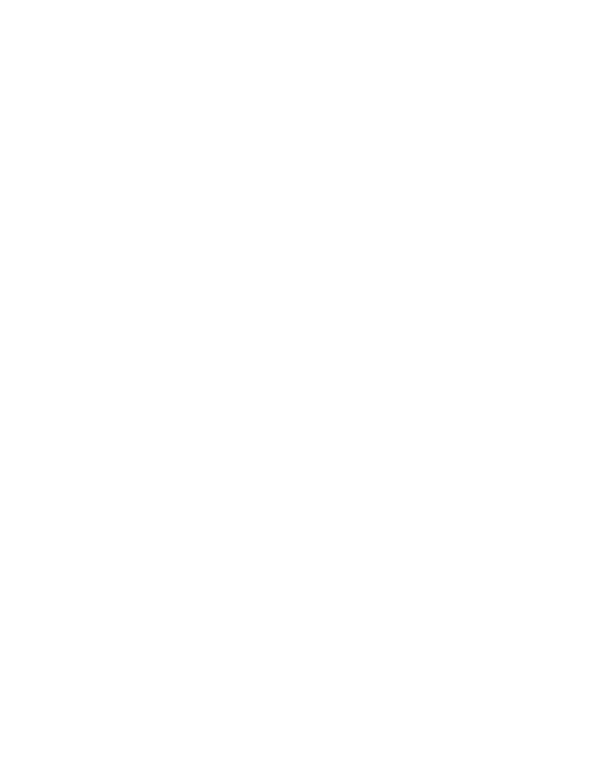# **3.3V LVPECL Clock Input Interface**

The PCLK /nPCLK accepts LVPECL, CML, LVDS and other differential signals. Both  $V_{SWING}$  and  $V_{OH}$  must meet the  $V_{PP}$  and V<sub>CMR</sub> input requirements. *Figures 3A to 3E* show interface examples for the PCLK/nPCLK input driven by the most common driver types.



**Figure 3A. PCLK/nPCLK Input Driven by an Open Collector CML Driver**



**Figure 3C. PCLK/nPCLK Input Driven by a 3.3V LVPECL Driver**



**Figure 3E. PCLK/nPCLK Input Driven by a LVDS Driver**

The input interfaces suggested here are examples only. If the driver is from another vendor, use their termination recommendation. Please consult with the vendor of the driver component to confirm the driver termination requirements.



**Figure 3B. PCLK/nPCLK Input Driven by a Built-In Pullup CML Driver**



**Figure 3D. PCLK/nPCLK Input Driven by a 3.3V LVPECL Driver with AC Couple**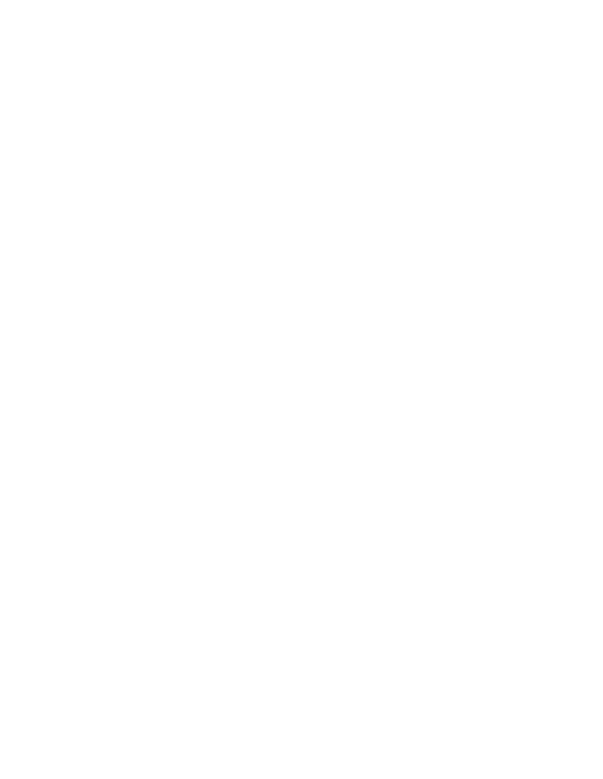# **2.5V LVPECL Clock Input Interface**

The PCLK /nPCLK accepts LVPECL, CML, LVDS and other differential signals. Both  $V_{SWING}$  and  $V_{OH}$  must meet the  $V_{PP}$  and V<sub>CMR</sub> input requirements. *Figures 4A to 4E* show interface examples for the PCLK/nPCLK input driven by the most common driver types.



**Figure 4A. PCLK/nPCLK Input Driven by an Open Collector CML Driver**



**Figure 4C. PCLK/nPCLK Input Driven by a 3.3V LVPECL Driver**



**Figure 4E. PCLK/nPCLK Input Driven by a LVDS Driver**

The input interfaces suggested here are examples only. If the driver is from another vendor, use their termination recommendation. Please consult with the vendor of the driver component to confirm the driver termination requirements.



**Figure 4B. PCLK/nPCLK Input Driven by a Built-In Pullup CML Driver**



**Figure 4D. PCLK/nPCLK Input Driven by a 3.3V LVPECL Driver with AC Couple**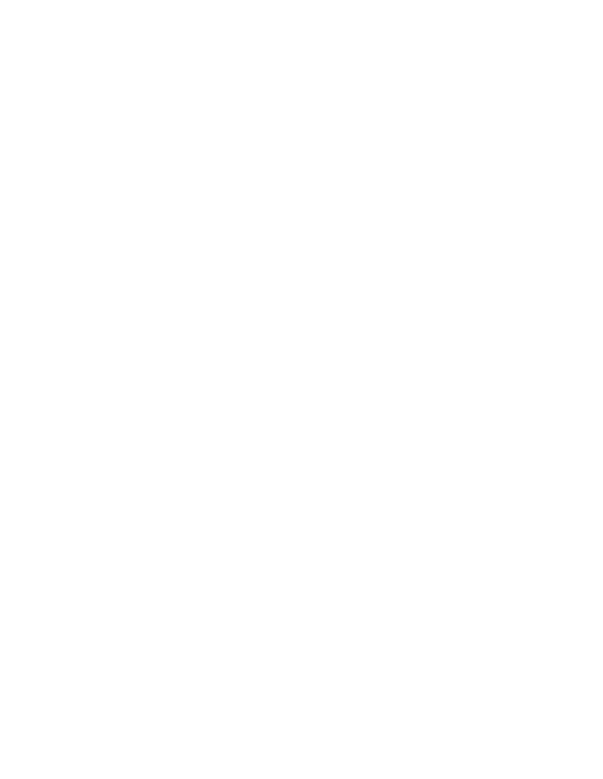# **3.3V Differential Clock Input Interface**

The CLK /nCLK accepts LVDS, LVPECL, LVHSTL, HCSL and other differential signals. Both  $V_{SWING}$  and  $V_{OH}$  must meet the  $V_{PP}$  and V<sub>CMR</sub> input requirements. *Figures 5A to 5E* show interface examples for the CLK/nCLK input driven by the most common driver types. The input interfaces suggested here are examples only. Please consult

with the vendor of the driver component to confirm the driver termination requirements. For example, in Figure 5A, the input termination applies for IDT open emitter LVHSTL drivers. If you are using an LVHSTL driver from another vendor, use their termination recommendation.



**Figure 5A. CLK/nCLK Input Driven by an IDT Open Emitter LVHSTL Driver**



**Figure 5C. CLK/nCLK Input Driven by a 3.3V LVPECL Driver**



**Figure 5E. CLK/nCLK Input Driven by a 3.3V HCSL Driver**



**Figure 5B. CLK/nCLK Input Driven by a 3.3V LVPECL Driver**



**Figure 5D. CLK/nCLK Input Driven by a 3.3V LVDS Driver**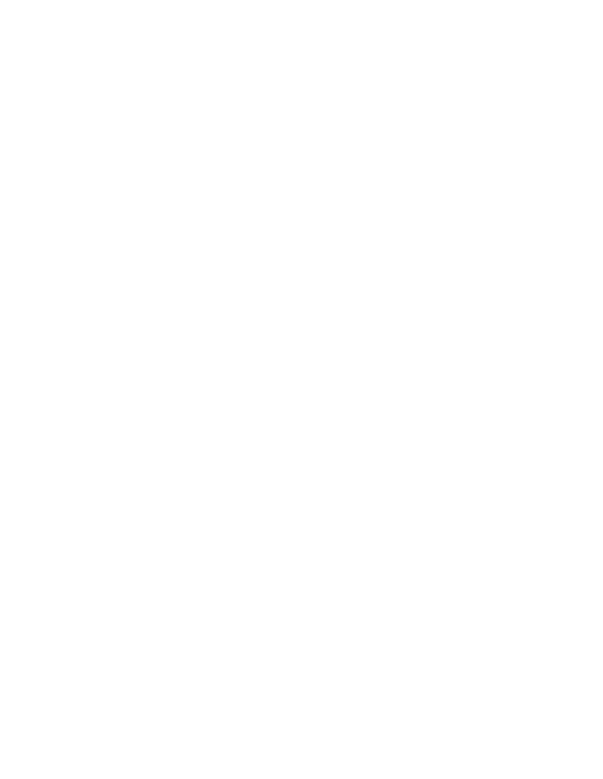# **2.5V Differential Clock Input Interface**

The CLK /nCLK accepts LVDS, LVPECL, LVHSTL, HCSL and other differential signals. Both  $V_{SWING}$  and  $V_{OH}$  must meet the  $V_{PP}$  and V<sub>CMR</sub> input requirements. *Figures 6A to 6E* show interface examples for the CLK/nCLK input driven by the most common driver types. The input interfaces suggested here are examples only. Please consult

R1 50Ω R<sub>2</sub>  $50\Omega$ 1.8V Zo = 50Ω Zo = 50Ω CLK  $c<sub>L</sub>$ 2.5V **LVHSTL** IDT Open Emitter LVHSTL Driver Differential Input

**Figure 6A. CLK/nCLK Input Driven by an IDT Open Emitter LVHSTL Driver**



**Figure 6C. CLK/nCLK Input Driven by a 2.5V LVPECL Driver**



**Figure 6E. CLK/nCLK Input Driven by a 2.5V HCSL Driver**

with the vendor of the driver component to confirm the driver termination requirements. For example, in Figure 6A, the input termination applies for IDT open emitter LVHSTL drivers. If you are using an LVHSTL driver from another vendor, use their termination recommendation.



**Figure 6B. CLK/nCLK Input Driven by a 2.5V LVPECL Driver**



**Figure 6D. CLK/nCLK Input Driven by a 2.5V LVDS Driver**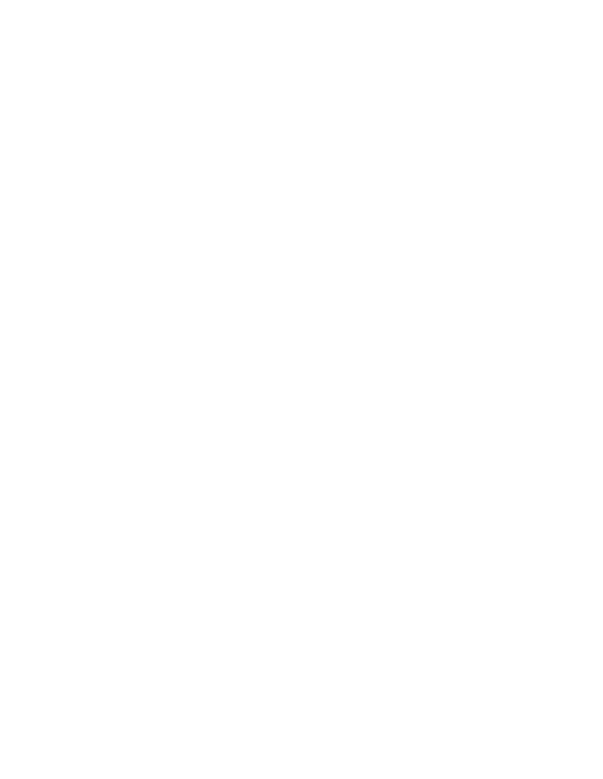## **LVDS Driver Termination**

For a general LVDS interface, the recommended value for the termination impedance ( $Z_T$ ) is between 90Ω and 132Ω. The actual value should be selected to match the differential impedance  $(Z_0)$  of your transmission line. A typical point-to-point LVDS design uses a 100Ω parallel resistor at the receiver and a 100Ω differential transmission-line environment. In order to avoid any transmission-line reflection issues, the components should be surface mounted and must be placed as close to the receiver as possible. IDT offers a full line of LVDS compliant devices with two types of output structures: current source and voltage source. The

standard termination schematic as shown in *Figure 7A* can be used with either type of output structure. *Figure 7B*, which can also be used with both output types, is an optional termination with center tap capacitance to help filter common mode noise. The capacitor value should be approximately 50pF. If using a non-standard termination, it is recommended to contact IDT and confirm if the output structure is current source or voltage source type. In addition, since these outputs are LVDS compatible, the input receiver's amplitude and common-mode input range should be verified for compatibility with the output.



**LVDS Termination**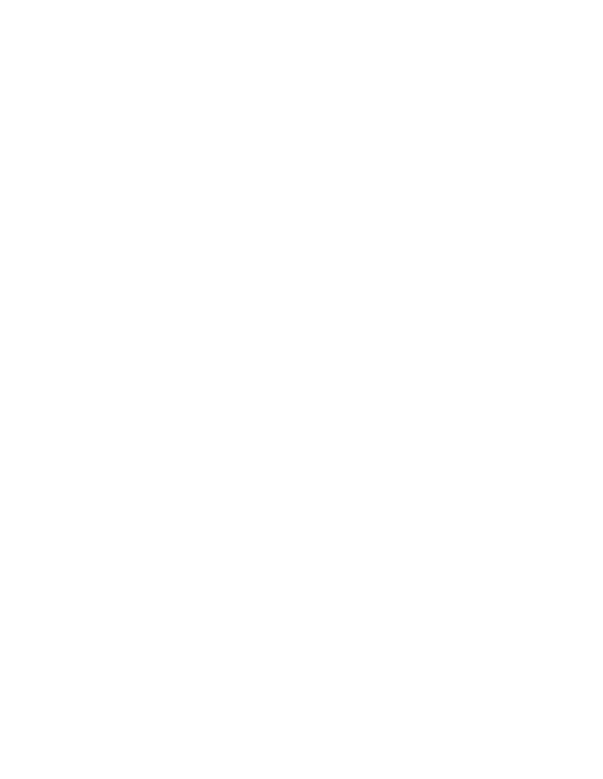# **Termination for 3.3V LVPECL Outputs**

The clock layout topology shown below is a typical termination for LVPECL outputs. The two different layouts mentioned are recommended only as guidelines.

The differential outputs are low impedance follower outputs that generate ECL/LVPECL compatible outputs. Therefore, terminating resistors (DC current path to ground) or current sources must be used for functionality. These outputs are designed to drive  $50\Omega$ 



transmission lines. Matched impedance techniques should be used to maximize operating frequency and minimize signal distortion. *Figures 8A and 8B* show two different layouts which are recommended only as guidelines. Other suitable clock layouts may exist and it would be recommended that the board designers simulate to guarantee compatibility across all printed circuit and clock component process variations.



**Figure 8A. 3.3V LVPECL Output Termination Figure 8B. 3.3V LVPECL Output Termination**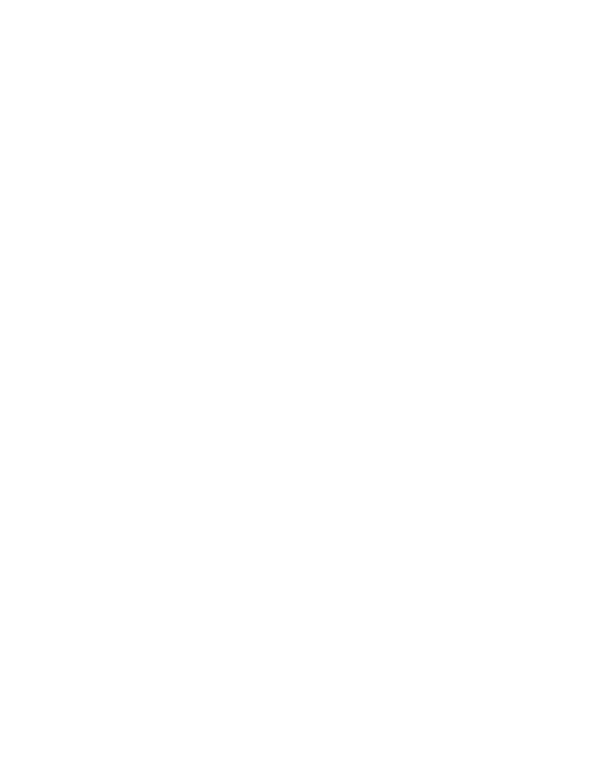# **Termination for 2.5V LVPECL Outputs**

*Figure 9A* and *Figure 9B* show examples of termination for 2.5V LVPECL driver. These terminations are equivalent to terminating 50Ω to  $V_{CC}$  – 2V. For  $V_{CC}$  = 2.5V, the  $V_{CC}$  – 2V is very close to ground



**Figure 9A. 2.5V LVPECL Driver Termination Example**



**Figure 9C. 2.5V LVPECL Driver Termination Example**

level. The R3 in Figure 9B can be eliminated and the termination is shown in *Figure 9C.*



**Figure 9B. 2.5V LVPECL Driver Termination Example**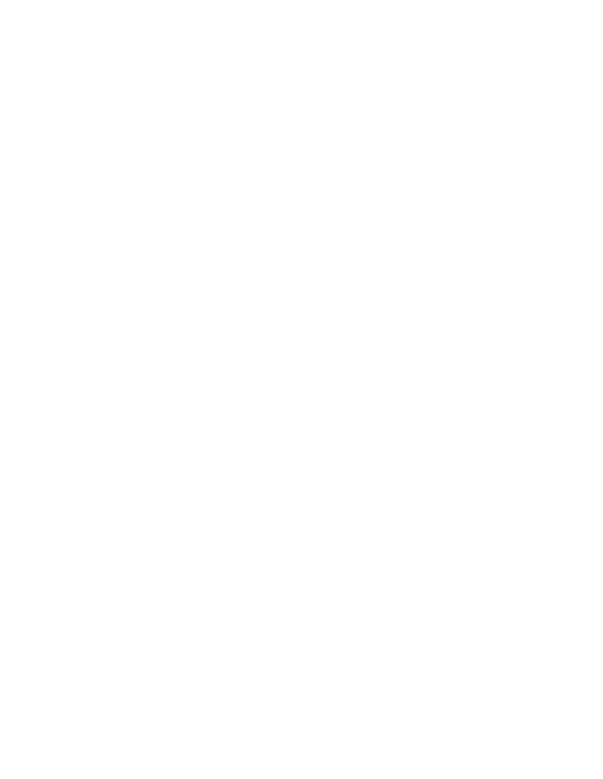## **VFQFN EPAD Thermal Release Path**

In order to maximize both the removal of heat from the package and the electrical performance, a land pattern must be incorporated on the Printed Circuit Board (PCB) within the footprint of the package corresponding to the exposed metal pad or exposed heat slug on the package, as shown in *Figure 10.* The solderable area on the PCB, as defined by the solder mask, should be at least the same size/shape as the exposed pad/slug area on the package to maximize the thermal/electrical performance. Sufficient clearance should be designed on the PCB between the outer edges of the land pattern and the inner edges of pad pattern for the leads to avoid any shorts.

While the land pattern on the PCB provides a means of heat transfer and electrical grounding from the package to the board through a solder joint, thermal vias are necessary to effectively conduct from the surface of the PCB to the ground plane(s). The land pattern must be connected to ground through these vias. The vias act as "heat pipes". The number of vias (i.e. "heat pipes") are application specific

and dependent upon the package power dissipation as well as electrical conductivity requirements. Thus, thermal and electrical analysis and/or testing are recommended to determine the minimum number needed. Maximum thermal and electrical performance is achieved when an array of vias is incorporated in the land pattern. It is recommended to use as many vias connected to ground as possible. It is also recommended that the via diameter should be 12 to 13mils (0.30 to 0.33mm) with 1oz copper via barrel plating. This is desirable to avoid any solder wicking inside the via during the soldering process which may result in voids in solder between the exposed pad/slug and the thermal land. Precautions should be taken to eliminate any solder voids between the exposed heat slug and the land pattern. Note: These recommendations are to be used as a guideline only. For further information, please refer to the Application Note on the Surface Mount Assembly of Amkor's Thermally/ Electrically Enhance Leadframe Base Package, Amkor Technology.



**Figure 10. P.C. Assembly for Exposed Pad Thermal Release Path – Side View (drawing not to scale)**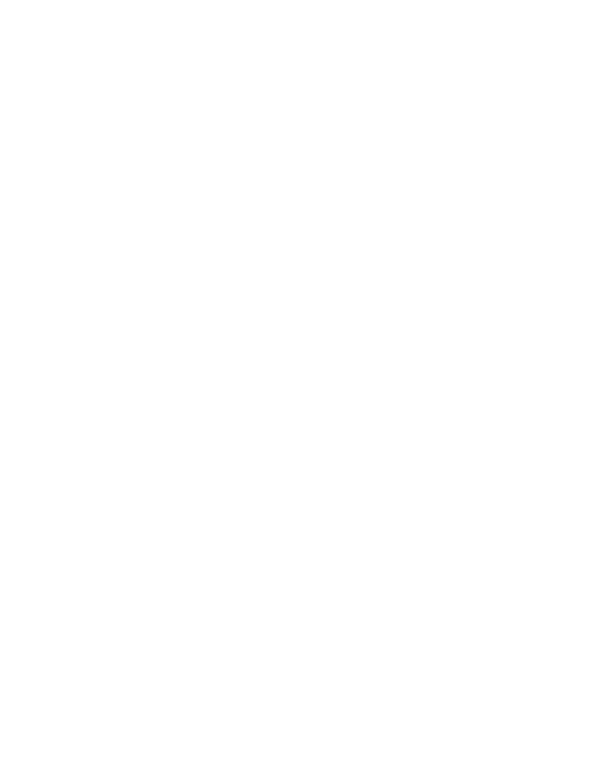# **LVPECL Power Considerations**

This section provides information on power dissipation and junction temperature for the ICS854S015I-01. Equations and example calculations are also provided.

#### **1. Power Dissipation.**

The total power dissipation for the ICS854S015I-01 is the sum of the core power plus the power dissipated in the load(s). The following is the power dissipation for  $V_{CC} = 3.3V + 5\% = 3.465V$ , which gives worst case results.

NOTE: Please refer to Section 3 for details on calculating power dissipated in the load.

- Power (core)<sub>MAX</sub> =  $V_{\text{CC\_MAX}}$  \*  $I_{\text{EE\_MAX}}$  = 3.465V \* 85mA = **294.53mW**
- Power (outputs)<sub>MAX</sub> = 30mW/Loaded Output pair If all outputs are loaded, the total power is 5 \* 30mW = **150mW**

**Total Power**<sub>\_MAX</sub> (3.3V, with all outputs switching) =  $294.53$ mW +150mW =  $444.55$ mW

#### **2. Junction Temperature.**

Junction temperature, Tj, is the temperature at the junction of the bond wire and bond pad directly affects the reliability of the device. The maximum recommended junction temperature is 125°C. Limiting the internal transistor junction temperature, Tj, to 125°C ensures that the bond wire and bond pad temperature remains below 125°C.

The equation for Tj is as follows: Tj =  $\theta_{JA}$  \* Pd\_total + T<sub>A</sub>

 $Tj$  = Junction Temperature

 $\theta_{JA}$  = Junction-to-Ambient Thermal Resistance

Pd\_total = Total Device Power Dissipation (example calculation is in section 1 above)

 $T_A$  = Ambient Temperature

In order to calculate junction temperature, the appropriate junction-to-ambient thermal resistance  $\theta_{JA}$  must be used. Assuming no air flow and a multi-layer board, the appropriate value is 49.5°C/W per Table 6 below.

Therefore, T<sub>i</sub> for an ambient temperature of 85°C with all outputs switching is:

 $85^{\circ}$ C + 0.445W  $*$  49.5 $^{\circ}$ C/W = 107 $^{\circ}$ C. This is below the limit of 125 $^{\circ}$ C.

This calculation is only an example. Tj will obviously vary depending on the number of loaded outputs, supply voltage, air flow and the type of board (multi-layer).

#### **Table 6. Thermal Resistance** θJA **for 24 Lead VFQFN, Forced Convection**

| $\theta_{JA}$ by Velocity                   |          |          |          |  |  |  |
|---------------------------------------------|----------|----------|----------|--|--|--|
| Meters per Second                           |          |          | 2.5      |  |  |  |
| Multi-Layer PCB, JEDEC Standard Test Boards | 49.5°C/W | 43.3°C/W | 38.8°C/W |  |  |  |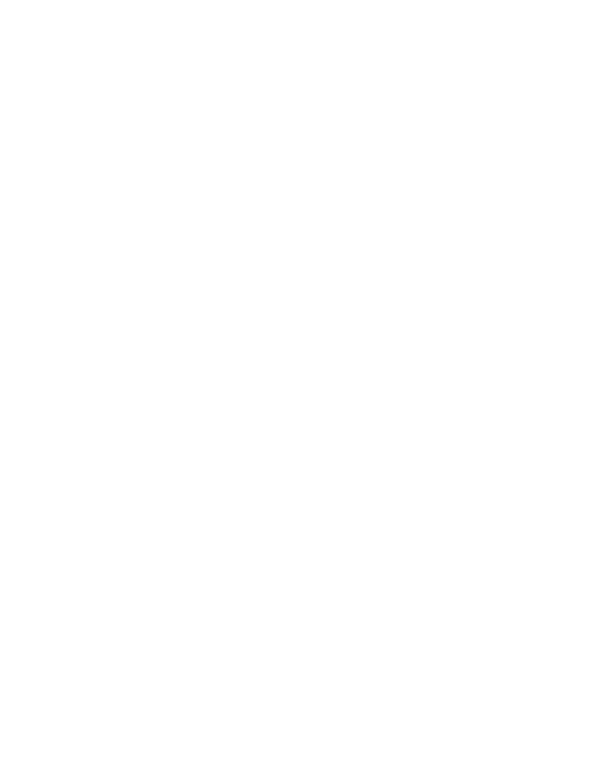# ICS854S015I-01 Data Sheet LOW SKEW, 1-TO-5, DIFFERENTIAL-TO-LVDS/LVPECL FANOUT BUFFER

#### **3. Calculations and Equations.**

The purpose of this section is to calculate the power dissipation for the LVPECL output pair.

LVPECL output driver circuit and termination are shown in *Figure 11.*



**Figure 11. LVPECL Driver Circuit and Termination**

To calculate worst case power dissipation into the load, use the following equations which assume a 50Ω load, and a termination voltage of  $V_{CC}$  – 2V.

- For logic high,  $V_{\text{OUT}} = V_{\text{OH\_MAX}} = V_{\text{CC\_MAX}} 0.9V$  $(V_{CC\_MAX} - V_{OH\_MAX}) = 0.9V$
- $\bullet$  For logic low,  $\mathsf{V}_{\mathsf{OUT}}$  =  $\mathsf{V}_{\mathsf{OL\_MAX}}$  =  $\mathsf{V}_{\mathsf{CC\_MAX}}$   $-$  **1.7V** (VCC\_MAX – VOL\_MAX) = **1.7V**

Pd\_H is power dissipation when the output drives high.

Pd\_L is the power dissipation when the output drives low.

Pd\_H = [(V<sub>OH\_MAX</sub> – (V<sub>CC\_MAX</sub> – 2V))/R<sub>L</sub>] \* (V<sub>CC\_MAX</sub> – V<sub>OH\_MAX</sub>) = [(2V – (V<sub>CC\_MAX</sub> – V<sub>OH\_MAX</sub>))/R<sub>L</sub>] \* (V<sub>CC\_MAX</sub> – V<sub>OH\_MAX</sub>) = [(2V – 0.9V)/50Ω] \* 0.9V = **19.8mW**

 $Pd\_L = [(V_{OL\_MAX} - (V_{CC\_MAX} - 2V))/R_L] * (V_{CC\_MAX} - V_{OL\_MAX}) = [(2V - (V_{CC\_MAX} - V_{OL\_MAX}))/R_L] * (V_{CC\_MAX} - V_{OL\_MAX}) = [(2V - (V_{CC\_MAX} - V_{OL\_MAX}))/(R_L)] * (V_{CC\_MAX} - V_{OL\_MAX})]$  $[(2V – 1.7V)/50 $\Omega$ ] * 1.7V = 10.2mW$ 

Total Power Dissipation per output pair = Pd\_H + Pd\_L = **30mW**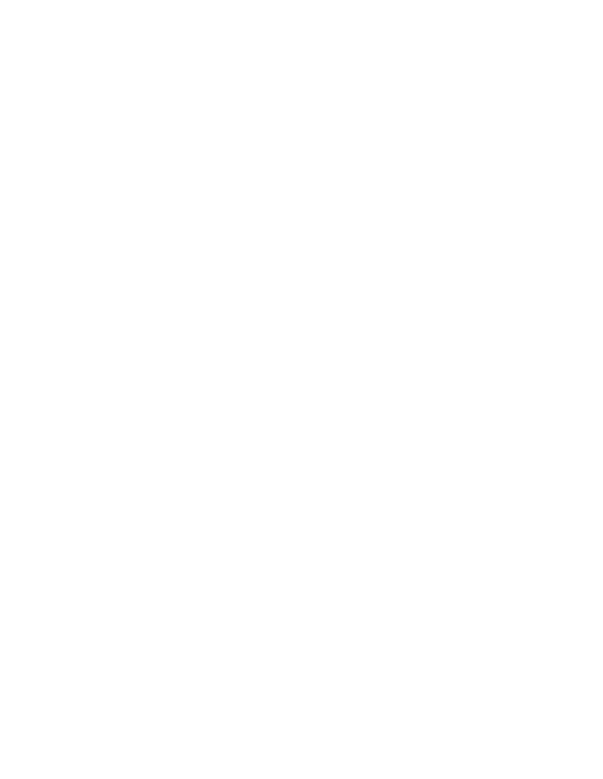# **LVDS Power Considerations**

This section provides information on power dissipation and junction temperature for the ICS854S015I-01. Equations and example calculations are also provided.

#### **1. Power Dissipation.**

The total power dissipation for the ICS854S015I-01 is the sum of the core power plus the analog power plus the power dissipated in the load(s). The following is the power dissipation for  $V_{CC} = 3.3V + 5\% = 3.465V$ , which gives worst case results.

NOTE: Please refer to Section 3 for details on calculating power dissipated in the load.

Power (core)<sub>MAX</sub> =  $V_{CC}$  MAX<sup>\*</sup>  ${}^{1}C_{C}$  MAX = 3.465V \* 150mA = **519.75mW** 

#### **2. Junction Temperature.**

Junction temperature, Tj, is the temperature at the junction of the bond wire and bond pad directly affects the reliability of the device. The maximum recommended junction temperature is 125°C. Limiting the internal transistor junction temperature, Tj, to 125°C ensures that the bond wire and bond pad temperature remains below 125°C.

The equation for Tj is as follows: Tj =  $\theta_{JA}$  \* Pd\_total + T<sub>A</sub>

 $Tj$  = Junction Temperature

 $\theta_{JA}$  = Junction-to-Ambient Thermal Resistance

Pd\_total = Total Device Power Dissipation (example calculation is in section 1 above)

 $T_A$  = Ambient Temperature

In order to calculate junction temperature, the appropriate junction-to-ambient thermal resistance  $\theta_{JA}$  must be used. Assuming no air flow and a multi-layer board, the appropriate value is 49.5°C/W per Table 7 below.

Therefore, Tj for an ambient temperature of 85°C with all outputs switching is:

 $85^{\circ}$ C + 0.520W  $*$  49.5°C/W = 110.7°C. This is below the limit of 125°C.

This calculation is only an example. Tj will obviously vary depending on the number of loaded outputs, supply voltage, air flow and the type of board (multi-layer).

#### **Table 7. Thermal Resistance** θJA **for 24 Lead VFQFN, Forced Convection**

| $\theta_{\rm JA}$ by Velocity               |          |                    |                    |  |  |  |
|---------------------------------------------|----------|--------------------|--------------------|--|--|--|
| Meters per Second                           |          |                    | 2.5                |  |  |  |
| Multi-Layer PCB, JEDEC Standard Test Boards | 49.5°C/W | $43.3^{\circ}$ C/W | $38.8^{\circ}$ C/W |  |  |  |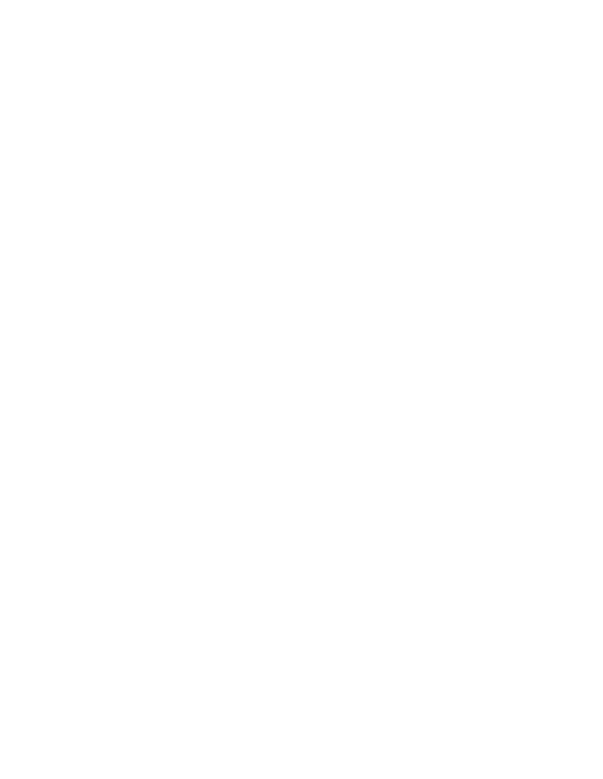

# **Reliability Information**

## **Table 8.** θJA **vs. Air Flow Table for a 24 Lead VFQFN**

| $\theta_{JA}$ vs. Air Flow                  |          |                    |                    |  |  |  |
|---------------------------------------------|----------|--------------------|--------------------|--|--|--|
| Meters per Second                           |          |                    | 2.5                |  |  |  |
| Multi-Layer PCB, JEDEC Standard Test Boards | 49.5°C/W | $43.3^{\circ}$ C/W | $38.8^{\circ}$ C/W |  |  |  |

#### **Transistor Count**

The transistor count for ICS854S015I-01 is: 521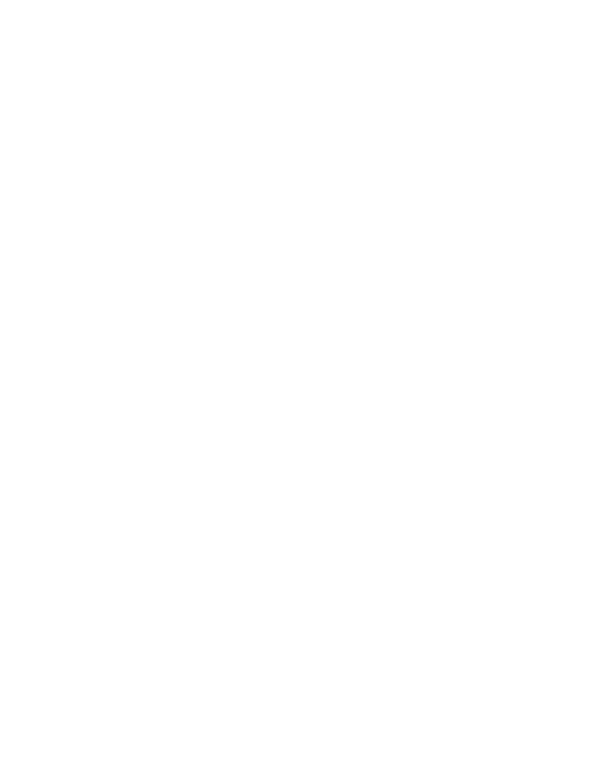# **Package Outline and Package Dimensions**

**Package Outline - K Suffix for 24 Lead VFQFN**







There are 2 methods of indicating pin 1 corner at the back of the VFQFN package are:

- 1. Type A: Chamfer on the paddle (near pin 1)
- 2. Type C: Mouse bite on the paddle (near pin 1)

| <b>All Dimensions in Millimeters</b> |                |                |  |  |  |
|--------------------------------------|----------------|----------------|--|--|--|
| Symbol                               | <b>Minimum</b> | <b>Maximum</b> |  |  |  |
| N                                    | 24             |                |  |  |  |
| A                                    | 0.80           | 1.0            |  |  |  |
| A1                                   |                | 0.05           |  |  |  |
| A3                                   | 0.25 Reference |                |  |  |  |
| b                                    | 0.18           | 0.30           |  |  |  |
| е                                    | 0.50 Basic     |                |  |  |  |
| D, E                                 | 4              |                |  |  |  |
| D <sub>2</sub> , E <sub>2</sub>      | 2.30           | 2.55           |  |  |  |
|                                      | 0.30           | 0.50           |  |  |  |
| $N_D N_F$                            | 6              |                |  |  |  |

#### **Table 9. K Package Dimensions for 24 Lead VFQFN**

Reference Document: JEDEC Publication 95, MO-220

NOTE: The following package mechanical drawing is a generic drawing that applies to any pin count VFQFN package. This drawing is not intended to convey the actual pin count or pin layout of this device. The pin count and pinout are shown on the front page. The package dimensions are in Table 9.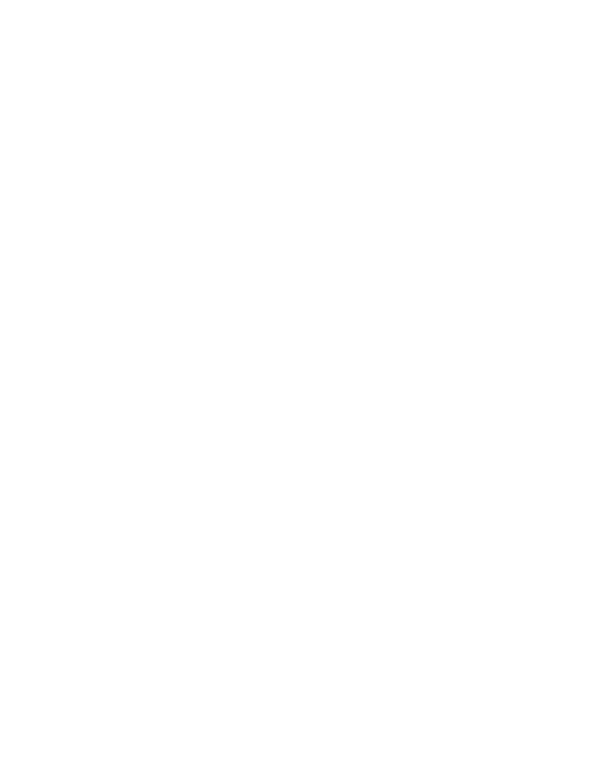

# **Ordering Information**

#### **Table 10. Ordering Information**

| <b>Part/Order Number</b> | <b>Marking</b> | Package                   | <b>Shipping Packaging</b> | Temperature                         |
|--------------------------|----------------|---------------------------|---------------------------|-------------------------------------|
| <b>854S015CKI-01LF</b>   | <b>15CI01L</b> | "Lead-Free" 24 Lead VFQFN | Tube                      | -40 $^{\circ}$ C to 85 $^{\circ}$ C |
| 1854S015CKI-01LFT        | <b>15CI01L</b> | "Lead-Free" 24 Lead VFQFN | 2500 Tape & Reel          | -40°C to 85°C                       |

NOTE: Parts that are ordered with an "LF" suffix to the part number are the Pb-Free configuration and are RoHS compliant.

While the information presented herein has been checked for both accuracy and reliability, Integrated Device Technology (IDT) assumes no responsibility for either its use or for the infringement of any patents or other rights of third parties, which would result from its use. No other circuits, patents, or licenses are implied. This product is intended for use in normal commercial and industrial applications. Any other applications, such as those requiring high reliability or other extraordinary environmental requirements are not recommended without additional processing by IDT. IDT reserves the right to change any circuitry or specifications without notice. IDT does not authorize or warrant any IDT product for use in life support devices or critical medical instruments.